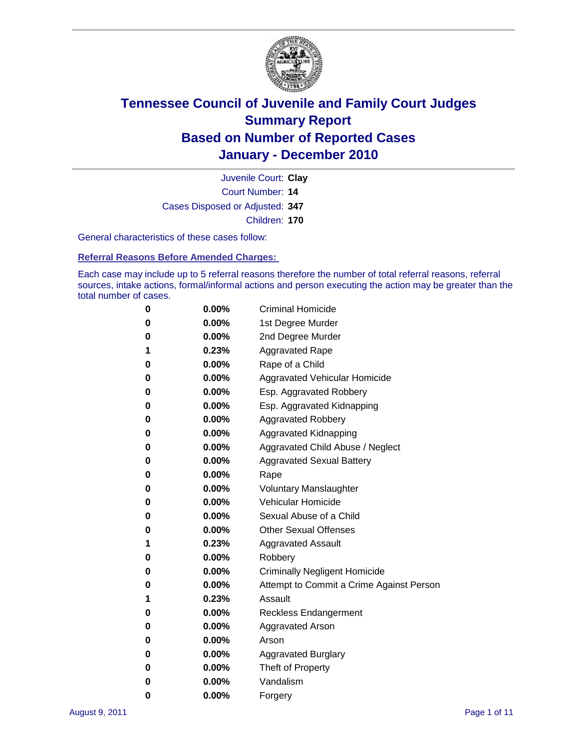

Court Number: **14** Juvenile Court: **Clay** Cases Disposed or Adjusted: **347** Children: **170**

General characteristics of these cases follow:

**Referral Reasons Before Amended Charges:** 

Each case may include up to 5 referral reasons therefore the number of total referral reasons, referral sources, intake actions, formal/informal actions and person executing the action may be greater than the total number of cases.

| 0 | $0.00\%$ | <b>Criminal Homicide</b>                 |
|---|----------|------------------------------------------|
| 0 | $0.00\%$ | 1st Degree Murder                        |
| 0 | $0.00\%$ | 2nd Degree Murder                        |
| 1 | 0.23%    | <b>Aggravated Rape</b>                   |
| 0 | $0.00\%$ | Rape of a Child                          |
| 0 | $0.00\%$ | Aggravated Vehicular Homicide            |
| 0 | $0.00\%$ | Esp. Aggravated Robbery                  |
| 0 | $0.00\%$ | Esp. Aggravated Kidnapping               |
| 0 | $0.00\%$ | <b>Aggravated Robbery</b>                |
| 0 | $0.00\%$ | Aggravated Kidnapping                    |
| 0 | $0.00\%$ | Aggravated Child Abuse / Neglect         |
| 0 | $0.00\%$ | <b>Aggravated Sexual Battery</b>         |
| 0 | 0.00%    | Rape                                     |
| 0 | $0.00\%$ | <b>Voluntary Manslaughter</b>            |
| 0 | $0.00\%$ | Vehicular Homicide                       |
| 0 | $0.00\%$ | Sexual Abuse of a Child                  |
| 0 | $0.00\%$ | <b>Other Sexual Offenses</b>             |
| 1 | 0.23%    | <b>Aggravated Assault</b>                |
| 0 | $0.00\%$ | Robbery                                  |
| 0 | $0.00\%$ | <b>Criminally Negligent Homicide</b>     |
| 0 | $0.00\%$ | Attempt to Commit a Crime Against Person |
| 1 | 0.23%    | Assault                                  |
| 0 | $0.00\%$ | <b>Reckless Endangerment</b>             |
| 0 | 0.00%    | <b>Aggravated Arson</b>                  |
| 0 | $0.00\%$ | Arson                                    |
| 0 | $0.00\%$ | <b>Aggravated Burglary</b>               |
| 0 | $0.00\%$ | Theft of Property                        |
| 0 | $0.00\%$ | Vandalism                                |
| 0 | 0.00%    | Forgery                                  |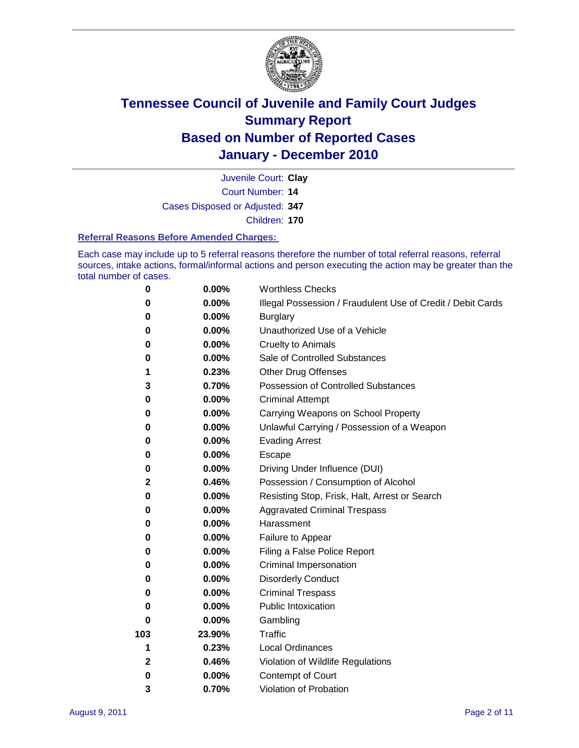

Court Number: **14** Juvenile Court: **Clay** Cases Disposed or Adjusted: **347** Children: **170**

#### **Referral Reasons Before Amended Charges:**

Each case may include up to 5 referral reasons therefore the number of total referral reasons, referral sources, intake actions, formal/informal actions and person executing the action may be greater than the total number of cases.

| $\pmb{0}$ | 0.00%    | <b>Worthless Checks</b>                                     |
|-----------|----------|-------------------------------------------------------------|
| 0         | 0.00%    | Illegal Possession / Fraudulent Use of Credit / Debit Cards |
| 0         | 0.00%    | <b>Burglary</b>                                             |
| 0         | 0.00%    | Unauthorized Use of a Vehicle                               |
| 0         | $0.00\%$ | <b>Cruelty to Animals</b>                                   |
| 0         | 0.00%    | Sale of Controlled Substances                               |
| 1         | 0.23%    | <b>Other Drug Offenses</b>                                  |
| 3         | 0.70%    | Possession of Controlled Substances                         |
| 0         | $0.00\%$ | <b>Criminal Attempt</b>                                     |
| 0         | 0.00%    | Carrying Weapons on School Property                         |
| 0         | $0.00\%$ | Unlawful Carrying / Possession of a Weapon                  |
| 0         | $0.00\%$ | <b>Evading Arrest</b>                                       |
| 0         | 0.00%    | Escape                                                      |
| 0         | $0.00\%$ | Driving Under Influence (DUI)                               |
| 2         | 0.46%    | Possession / Consumption of Alcohol                         |
| 0         | 0.00%    | Resisting Stop, Frisk, Halt, Arrest or Search               |
| 0         | 0.00%    | <b>Aggravated Criminal Trespass</b>                         |
| 0         | $0.00\%$ | Harassment                                                  |
| 0         | 0.00%    | Failure to Appear                                           |
| 0         | 0.00%    | Filing a False Police Report                                |
| 0         | 0.00%    | Criminal Impersonation                                      |
| 0         | $0.00\%$ | <b>Disorderly Conduct</b>                                   |
| 0         | $0.00\%$ | <b>Criminal Trespass</b>                                    |
| 0         | 0.00%    | Public Intoxication                                         |
| 0         | $0.00\%$ | Gambling                                                    |
| 103       | 23.90%   | <b>Traffic</b>                                              |
| 1         | 0.23%    | <b>Local Ordinances</b>                                     |
| 2         | 0.46%    | Violation of Wildlife Regulations                           |
| 0         | $0.00\%$ | Contempt of Court                                           |
| 3         | 0.70%    | Violation of Probation                                      |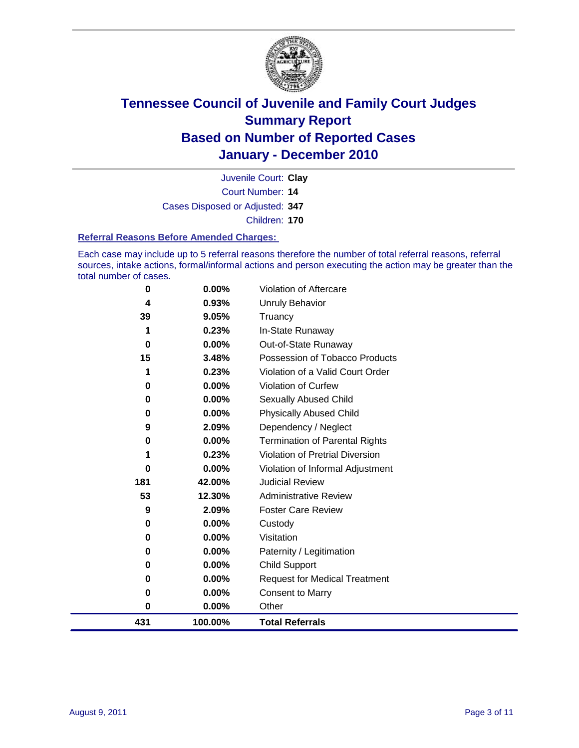

Court Number: **14** Juvenile Court: **Clay** Cases Disposed or Adjusted: **347** Children: **170**

#### **Referral Reasons Before Amended Charges:**

Each case may include up to 5 referral reasons therefore the number of total referral reasons, referral sources, intake actions, formal/informal actions and person executing the action may be greater than the total number of cases.

| 0   | 0.00%    | Violation of Aftercare                 |
|-----|----------|----------------------------------------|
| 4   | 0.93%    | Unruly Behavior                        |
| 39  | 9.05%    | Truancy                                |
| 1   | 0.23%    | In-State Runaway                       |
| 0   | $0.00\%$ | Out-of-State Runaway                   |
| 15  | 3.48%    | Possession of Tobacco Products         |
|     | 0.23%    | Violation of a Valid Court Order       |
| 0   | 0.00%    | Violation of Curfew                    |
| 0   | $0.00\%$ | Sexually Abused Child                  |
| 0   | 0.00%    | <b>Physically Abused Child</b>         |
| 9   | 2.09%    | Dependency / Neglect                   |
| 0   | $0.00\%$ | <b>Termination of Parental Rights</b>  |
|     | 0.23%    | <b>Violation of Pretrial Diversion</b> |
| 0   | 0.00%    | Violation of Informal Adjustment       |
| 181 | 42.00%   | <b>Judicial Review</b>                 |
| 53  | 12.30%   | <b>Administrative Review</b>           |
| 9   | 2.09%    | <b>Foster Care Review</b>              |
| 0   | $0.00\%$ | Custody                                |
| 0   | 0.00%    | Visitation                             |
| 0   | 0.00%    | Paternity / Legitimation               |
| 0   | 0.00%    | <b>Child Support</b>                   |
| 0   | 0.00%    | <b>Request for Medical Treatment</b>   |
| 0   | 0.00%    | <b>Consent to Marry</b>                |
| 0   | 0.00%    | Other                                  |
| 431 | 100.00%  | <b>Total Referrals</b>                 |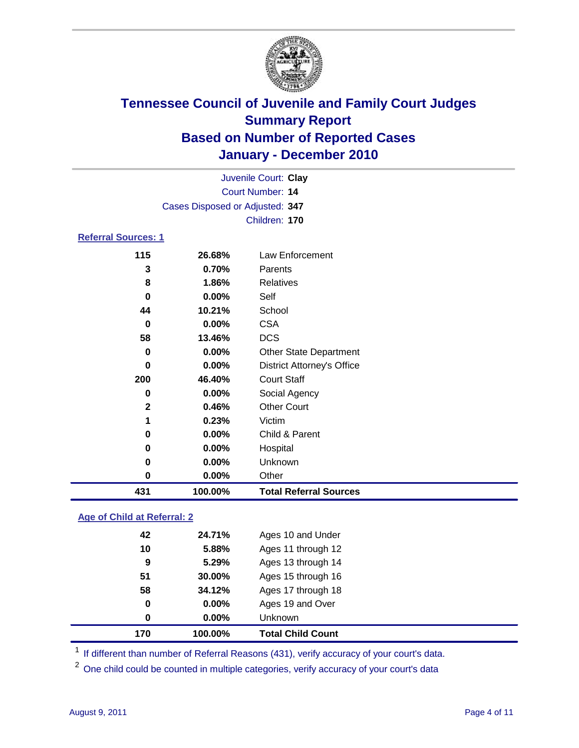

| Juvenile Court: Clay               |         |                                   |  |  |
|------------------------------------|---------|-----------------------------------|--|--|
| Court Number: 14                   |         |                                   |  |  |
| Cases Disposed or Adjusted: 347    |         |                                   |  |  |
|                                    |         | Children: 170                     |  |  |
| <b>Referral Sources: 1</b>         |         |                                   |  |  |
| 115                                | 26.68%  | <b>Law Enforcement</b>            |  |  |
| 3                                  | 0.70%   | Parents                           |  |  |
| 8                                  | 1.86%   | <b>Relatives</b>                  |  |  |
| $\bf{0}$                           | 0.00%   | Self                              |  |  |
| 44                                 | 10.21%  | School                            |  |  |
| $\bf{0}$                           | 0.00%   | <b>CSA</b>                        |  |  |
| 58                                 | 13.46%  | <b>DCS</b>                        |  |  |
| 0                                  | 0.00%   | Other State Department            |  |  |
| $\bf{0}$                           | 0.00%   | <b>District Attorney's Office</b> |  |  |
| 200                                | 46.40%  | <b>Court Staff</b>                |  |  |
| $\bf{0}$                           | 0.00%   | Social Agency                     |  |  |
| $\mathbf{2}$                       | 0.46%   | <b>Other Court</b>                |  |  |
| 1                                  | 0.23%   | Victim                            |  |  |
| 0                                  | 0.00%   | Child & Parent                    |  |  |
| 0                                  | 0.00%   | Hospital                          |  |  |
| 0                                  | 0.00%   | Unknown                           |  |  |
| $\pmb{0}$                          | 0.00%   | Other                             |  |  |
| 431                                | 100.00% | <b>Total Referral Sources</b>     |  |  |
| <b>Age of Child at Referral: 2</b> |         |                                   |  |  |
| $\Delta$                           | 24.71%  | Ages 10 and Under                 |  |  |

| 170 | 100.00%  | <b>Total Child Count</b> |
|-----|----------|--------------------------|
| 0   | $0.00\%$ | <b>Unknown</b>           |
| 0   | $0.00\%$ | Ages 19 and Over         |
| 58  | 34.12%   | Ages 17 through 18       |
| 51  | 30.00%   | Ages 15 through 16       |
| 9   | 5.29%    | Ages 13 through 14       |
| 10  | 5.88%    | Ages 11 through 12       |
| 42  | 24.71%   | Ages 10 and Under        |

<sup>1</sup> If different than number of Referral Reasons (431), verify accuracy of your court's data.

One child could be counted in multiple categories, verify accuracy of your court's data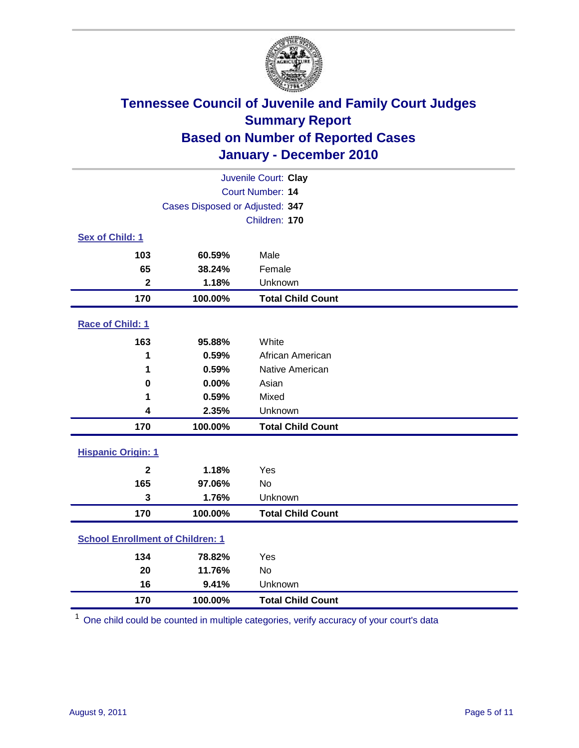

| Juvenile Court: Clay                    |                                 |                          |  |  |
|-----------------------------------------|---------------------------------|--------------------------|--|--|
| Court Number: 14                        |                                 |                          |  |  |
|                                         | Cases Disposed or Adjusted: 347 |                          |  |  |
|                                         |                                 | Children: 170            |  |  |
| Sex of Child: 1                         |                                 |                          |  |  |
| 103                                     | 60.59%                          | Male                     |  |  |
| 65                                      | 38.24%                          | Female                   |  |  |
| $\mathbf{2}$                            | 1.18%                           | Unknown                  |  |  |
| 170                                     | 100.00%                         | <b>Total Child Count</b> |  |  |
| Race of Child: 1                        |                                 |                          |  |  |
| 163                                     | 95.88%                          | White                    |  |  |
| 1                                       | 0.59%                           | African American         |  |  |
| 1                                       | 0.59%                           | Native American          |  |  |
| $\mathbf 0$                             | 0.00%                           | Asian                    |  |  |
| 1                                       | 0.59%                           | Mixed                    |  |  |
| 4                                       | 2.35%                           | Unknown                  |  |  |
| 170                                     | 100.00%                         | <b>Total Child Count</b> |  |  |
| <b>Hispanic Origin: 1</b>               |                                 |                          |  |  |
| $\overline{2}$                          | 1.18%                           | Yes                      |  |  |
| 165                                     | 97.06%                          | No                       |  |  |
| 3                                       | 1.76%                           | Unknown                  |  |  |
| 170                                     | 100.00%                         | <b>Total Child Count</b> |  |  |
| <b>School Enrollment of Children: 1</b> |                                 |                          |  |  |
| 134                                     | 78.82%                          | Yes                      |  |  |
| 20                                      | 11.76%                          | <b>No</b>                |  |  |
| 16                                      | 9.41%                           | Unknown                  |  |  |
| 170                                     | 100.00%                         | <b>Total Child Count</b> |  |  |

One child could be counted in multiple categories, verify accuracy of your court's data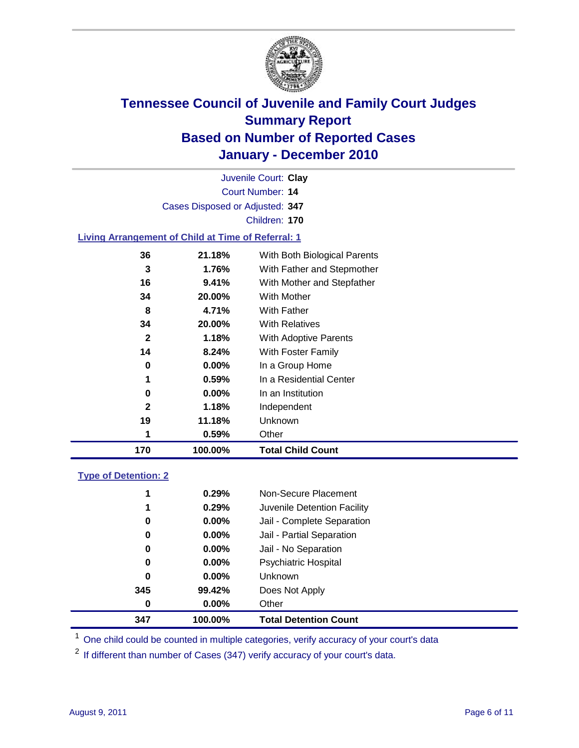

| Juvenile Court: Clay            |  |
|---------------------------------|--|
| Court Number: 14                |  |
| Cases Disposed or Adjusted: 347 |  |
| Children: 170                   |  |

### **Living Arrangement of Child at Time of Referral: 1**

| 170          | 100.00%  | <b>Total Child Count</b>     |
|--------------|----------|------------------------------|
| 1            | 0.59%    | Other                        |
| 19           | 11.18%   | Unknown                      |
| 2            | 1.18%    | Independent                  |
| 0            | $0.00\%$ | In an Institution            |
| 1            | 0.59%    | In a Residential Center      |
| 0            | $0.00\%$ | In a Group Home              |
| 14           | 8.24%    | With Foster Family           |
| $\mathbf{2}$ | 1.18%    | With Adoptive Parents        |
| 34           | 20.00%   | <b>With Relatives</b>        |
| 8            | 4.71%    | With Father                  |
| 34           | 20.00%   | With Mother                  |
| 16           | 9.41%    | With Mother and Stepfather   |
| 3            | 1.76%    | With Father and Stepmother   |
| 36           | 21.18%   | With Both Biological Parents |
|              |          |                              |

### **Type of Detention: 2**

| 347 | 100.00%  | <b>Total Detention Count</b> |
|-----|----------|------------------------------|
| 0   | 0.00%    | Other                        |
| 345 | 99.42%   | Does Not Apply               |
| 0   | $0.00\%$ | <b>Unknown</b>               |
| 0   | $0.00\%$ | <b>Psychiatric Hospital</b>  |
| 0   | 0.00%    | Jail - No Separation         |
| 0   | $0.00\%$ | Jail - Partial Separation    |
| 0   | $0.00\%$ | Jail - Complete Separation   |
| 1   | 0.29%    | Juvenile Detention Facility  |
| 1   | 0.29%    | Non-Secure Placement         |
|     |          |                              |

<sup>1</sup> One child could be counted in multiple categories, verify accuracy of your court's data

<sup>2</sup> If different than number of Cases (347) verify accuracy of your court's data.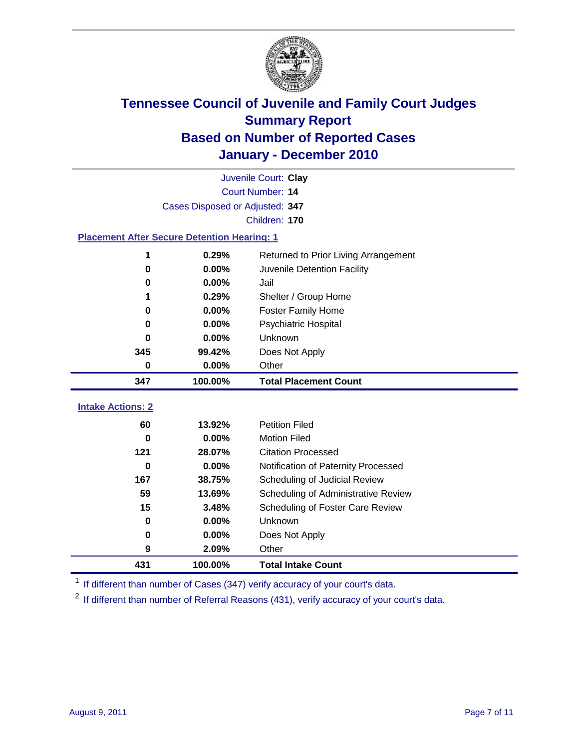

|                                                    |         | Juvenile Court: Clay                 |  |  |
|----------------------------------------------------|---------|--------------------------------------|--|--|
| Court Number: 14                                   |         |                                      |  |  |
| Cases Disposed or Adjusted: 347                    |         |                                      |  |  |
|                                                    |         | Children: 170                        |  |  |
| <b>Placement After Secure Detention Hearing: 1</b> |         |                                      |  |  |
| 1                                                  | 0.29%   | Returned to Prior Living Arrangement |  |  |
| $\bf{0}$                                           | 0.00%   | Juvenile Detention Facility          |  |  |
| 0                                                  | 0.00%   | Jail                                 |  |  |
| 1                                                  | 0.29%   | Shelter / Group Home                 |  |  |
| 0                                                  | 0.00%   | Foster Family Home                   |  |  |
| 0                                                  | 0.00%   | Psychiatric Hospital                 |  |  |
| 0                                                  | 0.00%   | Unknown                              |  |  |
| 345                                                | 99.42%  | Does Not Apply                       |  |  |
| $\mathbf 0$                                        | 0.00%   | Other                                |  |  |
| 347                                                | 100.00% | <b>Total Placement Count</b>         |  |  |
|                                                    |         |                                      |  |  |
| <b>Intake Actions: 2</b>                           |         |                                      |  |  |
| 60                                                 | 13.92%  | <b>Petition Filed</b>                |  |  |
| $\bf{0}$                                           | 0.00%   | <b>Motion Filed</b>                  |  |  |
| 121                                                | 28.07%  | <b>Citation Processed</b>            |  |  |
| $\Omega$                                           | 0.00%   | Notification of Paternity Processed  |  |  |
| 167                                                | 38.75%  | Scheduling of Judicial Review        |  |  |
| 59                                                 | 13.69%  | Scheduling of Administrative Review  |  |  |
| 15                                                 | 3.48%   | Scheduling of Foster Care Review     |  |  |
| $\bf{0}$                                           | 0.00%   | Unknown                              |  |  |
| 0                                                  | 0.00%   | Does Not Apply                       |  |  |
| 9                                                  | 2.09%   | Other                                |  |  |
| 431                                                | 100.00% | <b>Total Intake Count</b>            |  |  |

<sup>1</sup> If different than number of Cases (347) verify accuracy of your court's data.

<sup>2</sup> If different than number of Referral Reasons (431), verify accuracy of your court's data.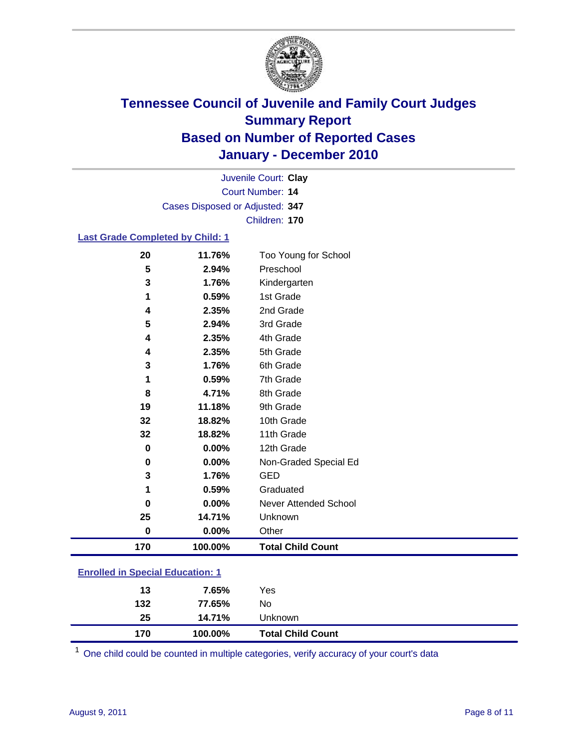

Court Number: **14** Juvenile Court: **Clay** Cases Disposed or Adjusted: **347** Children: **170**

### **Last Grade Completed by Child: 1**

| 20                                      | 11.76%  | Too Young for School         |  |
|-----------------------------------------|---------|------------------------------|--|
| 5                                       | 2.94%   | Preschool                    |  |
| 3                                       | 1.76%   | Kindergarten                 |  |
| 1                                       | 0.59%   | 1st Grade                    |  |
| 4                                       | 2.35%   | 2nd Grade                    |  |
| 5                                       | 2.94%   | 3rd Grade                    |  |
| 4                                       | 2.35%   | 4th Grade                    |  |
| 4                                       | 2.35%   | 5th Grade                    |  |
| 3                                       | 1.76%   | 6th Grade                    |  |
| 1                                       | 0.59%   | 7th Grade                    |  |
| 8                                       | 4.71%   | 8th Grade                    |  |
| 19                                      | 11.18%  | 9th Grade                    |  |
| 32                                      | 18.82%  | 10th Grade                   |  |
| 32                                      | 18.82%  | 11th Grade                   |  |
| $\mathbf 0$                             | 0.00%   | 12th Grade                   |  |
| 0                                       | 0.00%   | Non-Graded Special Ed        |  |
| 3                                       | 1.76%   | <b>GED</b>                   |  |
| 1                                       | 0.59%   | Graduated                    |  |
| $\bf{0}$                                | 0.00%   | <b>Never Attended School</b> |  |
| 25                                      | 14.71%  | Unknown                      |  |
| $\mathbf 0$                             | 0.00%   | Other                        |  |
| 170                                     | 100.00% | <b>Total Child Count</b>     |  |
| <b>Enrolled in Special Education: 1</b> |         |                              |  |

| 170 | 100.00% | <b>Total Child Count</b> |  |  |
|-----|---------|--------------------------|--|--|
| 25  | 14.71%  | Unknown                  |  |  |
| 132 | 77.65%  | No                       |  |  |
| 13  | 7.65%   | Yes                      |  |  |
|     |         |                          |  |  |

One child could be counted in multiple categories, verify accuracy of your court's data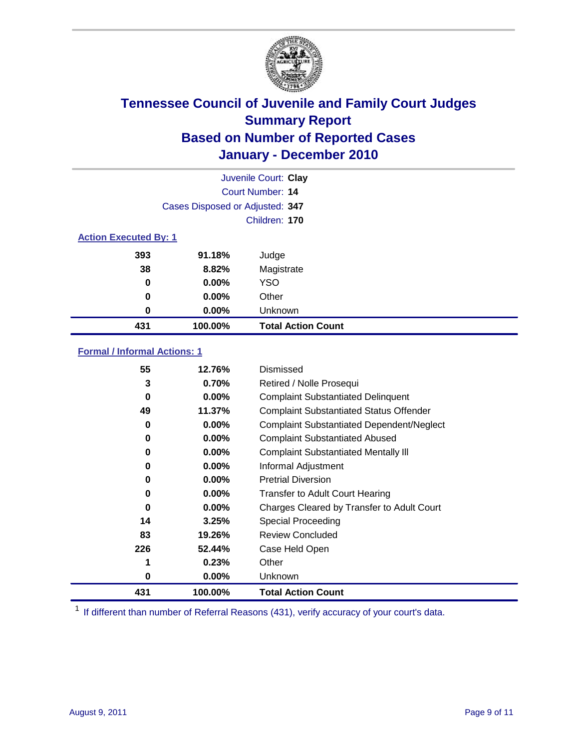

|                              |                                 | Juvenile Court: Clay      |
|------------------------------|---------------------------------|---------------------------|
|                              |                                 | <b>Court Number: 14</b>   |
|                              | Cases Disposed or Adjusted: 347 |                           |
|                              |                                 | Children: 170             |
| <b>Action Executed By: 1</b> |                                 |                           |
| 393                          | 91.18%                          | Judge                     |
| 38                           | 8.82%                           | Magistrate                |
| 0                            | $0.00\%$                        | <b>YSO</b>                |
| $\bf{0}$                     | $0.00\%$                        | Other                     |
| 0                            | $0.00\%$                        | Unknown                   |
| 431                          | 100.00%                         | <b>Total Action Count</b> |

### **Formal / Informal Actions: 1**

| 55  | 12.76%   | Dismissed                                        |
|-----|----------|--------------------------------------------------|
| 3   | 0.70%    | Retired / Nolle Prosequi                         |
| 0   | $0.00\%$ | <b>Complaint Substantiated Delinquent</b>        |
| 49  | 11.37%   | <b>Complaint Substantiated Status Offender</b>   |
| 0   | $0.00\%$ | <b>Complaint Substantiated Dependent/Neglect</b> |
| 0   | $0.00\%$ | <b>Complaint Substantiated Abused</b>            |
| 0   | $0.00\%$ | <b>Complaint Substantiated Mentally III</b>      |
| 0   | $0.00\%$ | Informal Adjustment                              |
| 0   | $0.00\%$ | <b>Pretrial Diversion</b>                        |
| 0   | $0.00\%$ | <b>Transfer to Adult Court Hearing</b>           |
| 0   | $0.00\%$ | Charges Cleared by Transfer to Adult Court       |
| 14  | 3.25%    | Special Proceeding                               |
| 83  | 19.26%   | <b>Review Concluded</b>                          |
| 226 | 52.44%   | Case Held Open                                   |
|     | 0.23%    | Other                                            |
| 0   | $0.00\%$ | <b>Unknown</b>                                   |
| 431 | 100.00%  | <b>Total Action Count</b>                        |

<sup>1</sup> If different than number of Referral Reasons (431), verify accuracy of your court's data.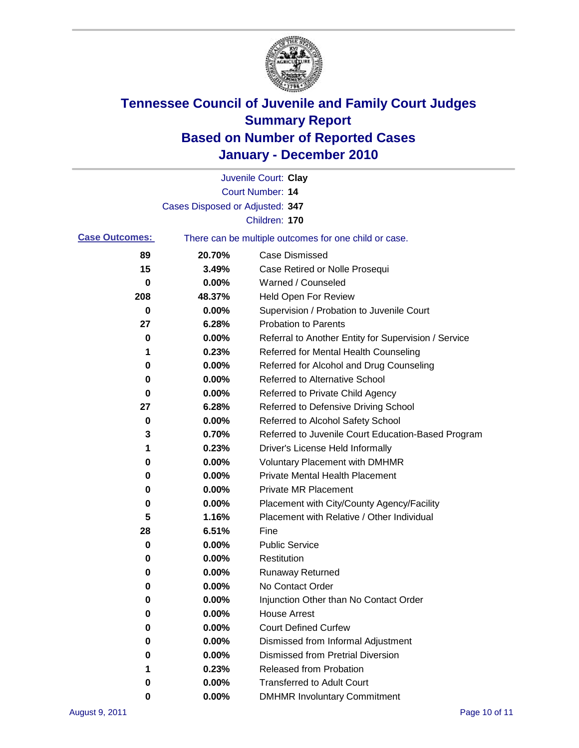

|                       |                                 | Juvenile Court: Clay                                  |
|-----------------------|---------------------------------|-------------------------------------------------------|
|                       |                                 | Court Number: 14                                      |
|                       | Cases Disposed or Adjusted: 347 |                                                       |
|                       |                                 | Children: 170                                         |
| <b>Case Outcomes:</b> |                                 | There can be multiple outcomes for one child or case. |
| 89                    | 20.70%                          | <b>Case Dismissed</b>                                 |
| 15                    | 3.49%                           | Case Retired or Nolle Prosequi                        |
| 0                     | 0.00%                           | Warned / Counseled                                    |
| 208                   | 48.37%                          | Held Open For Review                                  |
| 0                     | 0.00%                           | Supervision / Probation to Juvenile Court             |
| 27                    | 6.28%                           | <b>Probation to Parents</b>                           |
| 0                     | 0.00%                           | Referral to Another Entity for Supervision / Service  |
| 1                     | 0.23%                           | Referred for Mental Health Counseling                 |
| 0                     | 0.00%                           | Referred for Alcohol and Drug Counseling              |
| 0                     | 0.00%                           | <b>Referred to Alternative School</b>                 |
| 0                     | 0.00%                           | Referred to Private Child Agency                      |
| 27                    | 6.28%                           | Referred to Defensive Driving School                  |
| 0                     | 0.00%                           | Referred to Alcohol Safety School                     |
| 3                     | 0.70%                           | Referred to Juvenile Court Education-Based Program    |
| 1                     | 0.23%                           | Driver's License Held Informally                      |
| 0                     | 0.00%                           | <b>Voluntary Placement with DMHMR</b>                 |
| 0                     | 0.00%                           | <b>Private Mental Health Placement</b>                |
| 0                     | 0.00%                           | <b>Private MR Placement</b>                           |
| 0                     | 0.00%                           | Placement with City/County Agency/Facility            |
| 5                     | 1.16%                           | Placement with Relative / Other Individual            |
| 28                    | 6.51%                           | Fine                                                  |
| 0                     | 0.00%                           | <b>Public Service</b>                                 |
| 0                     | 0.00%                           | Restitution                                           |
| 0                     | 0.00%                           | <b>Runaway Returned</b>                               |
| 0                     | 0.00%                           | No Contact Order                                      |
| 0                     | 0.00%                           | Injunction Other than No Contact Order                |
| 0                     | 0.00%                           | <b>House Arrest</b>                                   |
| 0                     | 0.00%                           | <b>Court Defined Curfew</b>                           |
| 0                     | 0.00%                           | Dismissed from Informal Adjustment                    |
| 0                     | $0.00\%$                        | <b>Dismissed from Pretrial Diversion</b>              |
| 1                     | 0.23%                           | Released from Probation                               |
| 0                     | $0.00\%$                        | <b>Transferred to Adult Court</b>                     |
| 0                     | $0.00\%$                        | <b>DMHMR Involuntary Commitment</b>                   |